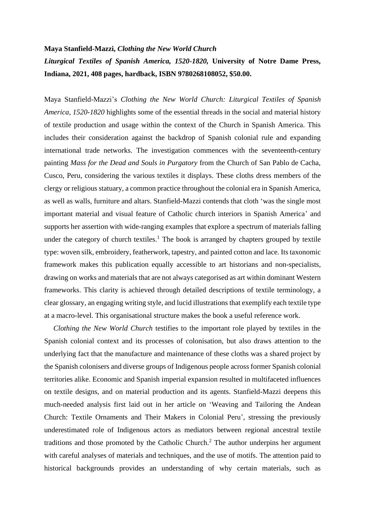## **Maya Stanfield-Mazzi,** *Clothing the New World Church Liturgical Textiles of Spanish America, 1520-1820,* **University of Notre Dame Press, Indiana, 2021, 408 pages, hardback, ISBN 9780268108052, \$50.00.**

Maya Stanfield-Mazzi's *Clothing the New World Church: Liturgical Textiles of Spanish America, 1520-1820* highlights some of the essential threads in the social and material history of textile production and usage within the context of the Church in Spanish America. This includes their consideration against the backdrop of Spanish colonial rule and expanding international trade networks. The investigation commences with the seventeenth-century painting *Mass for the Dead and Souls in Purgatory* from the Church of San Pablo de Cacha, Cusco, Peru, considering the various textiles it displays. These cloths dress members of the clergy or religious statuary, a common practice throughout the colonial era in Spanish America, as well as walls, furniture and altars. Stanfield-Mazzi contends that cloth 'was the single most important material and visual feature of Catholic church interiors in Spanish America' and supports her assertion with wide-ranging examples that explore a spectrum of materials falling under the category of church textiles.<sup>1</sup> The book is arranged by chapters grouped by textile type: woven silk, embroidery, featherwork, tapestry, and painted cotton and lace. Its taxonomic framework makes this publication equally accessible to art historians and non-specialists, drawing on works and materials that are not always categorised as art within dominant Western frameworks. This clarity is achieved through detailed descriptions of textile terminology, a clear glossary, an engaging writing style, and lucid illustrations that exemplify each textile type at a macro-level. This organisational structure makes the book a useful reference work.

 *Clothing the New World Church* testifies to the important role played by textiles in the Spanish colonial context and its processes of colonisation, but also draws attention to the underlying fact that the manufacture and maintenance of these cloths was a shared project by the Spanish colonisers and diverse groups of Indigenous people across former Spanish colonial territories alike. Economic and Spanish imperial expansion resulted in multifaceted influences on textile designs, and on material production and its agents. Stanfield-Mazzi deepens this much-needed analysis first laid out in her article on 'Weaving and Tailoring the Andean Church: Textile Ornaments and Their Makers in Colonial Peru', stressing the previously underestimated role of Indigenous actors as mediators between regional ancestral textile traditions and those promoted by the Catholic Church.<sup>2</sup> The author underpins her argument with careful analyses of materials and techniques, and the use of motifs. The attention paid to historical backgrounds provides an understanding of why certain materials, such as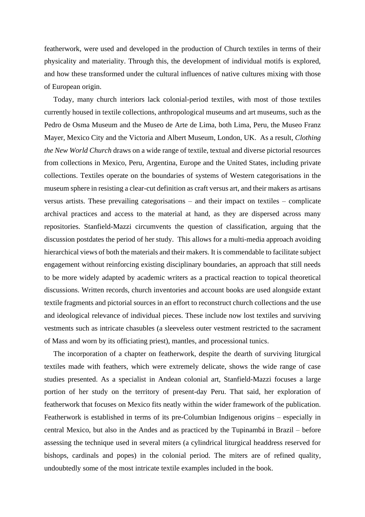featherwork, were used and developed in the production of Church textiles in terms of their physicality and materiality. Through this, the development of individual motifs is explored, and how these transformed under the cultural influences of native cultures mixing with those of European origin.

 Today, many church interiors lack colonial-period textiles, with most of those textiles currently housed in textile collections, anthropological museums and art museums, such as the Pedro de Osma Museum and the Museo de Arte de Lima, both Lima, Peru, the Museo Franz Mayer, Mexico City and the Victoria and Albert Museum, London, UK. As a result, *Clothing the New World Church* draws on a wide range of textile, textual and diverse pictorial resources from collections in Mexico, Peru, Argentina, Europe and the United States, including private collections. Textiles operate on the boundaries of systems of Western categorisations in the museum sphere in resisting a clear-cut definition as craft versus art, and their makers as artisans versus artists. These prevailing categorisations – and their impact on textiles – complicate archival practices and access to the material at hand, as they are dispersed across many repositories. Stanfield-Mazzi circumvents the question of classification, arguing that the discussion postdates the period of her study. This allows for a multi-media approach avoiding hierarchical views of both the materials and their makers. It is commendable to facilitate subject engagement without reinforcing existing disciplinary boundaries, an approach that still needs to be more widely adapted by academic writers as a practical reaction to topical theoretical discussions. Written records, church inventories and account books are used alongside extant textile fragments and pictorial sources in an effort to reconstruct church collections and the use and ideological relevance of individual pieces. These include now lost textiles and surviving vestments such as intricate chasubles (a sleeveless outer vestment restricted to the sacrament of Mass and worn by its officiating priest), mantles, and processional tunics.

 The incorporation of a chapter on featherwork, despite the dearth of surviving liturgical textiles made with feathers, which were extremely delicate, shows the wide range of case studies presented. As a specialist in Andean colonial art, Stanfield-Mazzi focuses a large portion of her study on the territory of present-day Peru. That said, her exploration of featherwork that focuses on Mexico fits neatly within the wider framework of the publication. Featherwork is established in terms of its pre-Columbian Indigenous origins – especially in central Mexico, but also in the Andes and as practiced by the Tupinambá in Brazil – before assessing the technique used in several miters (a cylindrical liturgical headdress reserved for bishops, cardinals and popes) in the colonial period. The miters are of refined quality, undoubtedly some of the most intricate textile examples included in the book.